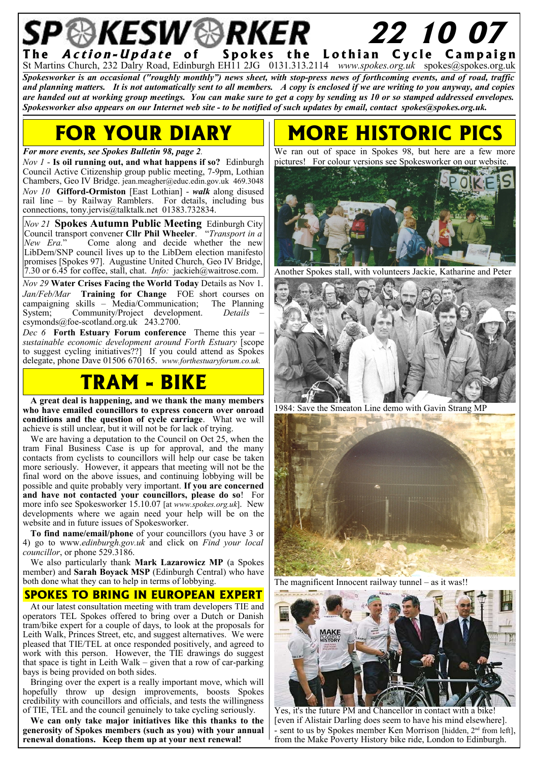Action-Update of Spokes the Lothian Cycle Campaign St Martins Church, 232 Dalry Road, Edinburgh EH11 2JG 0131.313.2114 *www.spokes.org.uk* spokes@spokes.org.uk *Spokesworker is an occasional ("roughly monthly") news sheet, with stop-press news of forthcoming events, and of road, traffic and planning matters. It is not automatically sent to all members. A copy is enclosed if we are writing to you anyway, and copies are handed out at working group meetings. You can make sure to get a copy by sending us 10 or so stamped addressed envelopes. Spokesworker also appears on our Internet web site - to be notified of such updates by email, contact spokes@spokes.org.uk.*

 **22 10 07**

## **FOR YOUR DIARY**

#### *For more events, see Spokes Bulletin 98, page 2.*

*Nov 1* - **Is oil running out, and what happens if so?** Edinburgh Council Active Citizenship group public meeting, 7-9pm, Lothian Chambers, Geo IV Bridge. jean.meagher@educ.edin.gov.uk 469.3048 *Nov 10* **Gifford-Ormiston** [East Lothian] - *walk* along disused rail line – by Railway Ramblers. For details, including bus connections, tony.jervis@talktalk.net 01383.732834.

*Nov 21* **Spokes Autumn Public Meeting** Edinburgh City Council transport convener **Cllr Phil Wheeler**. "*Transport in a New Era.*" Come along and decide whether the new LibDem/SNP council lives up to the LibDem election manifesto promises [Spokes 97]. Augustine United Church, Geo IV Bridge, 7.30 or 6.45 for coffee, stall, chat. *Info:* jackieh@waitrose.com.

*Nov 29* **Water Crises Facing the World Today** Details as Nov 1. *Jan/Feb/Mar* **Training for Change** FOE short courses on campaigning skills – Media/Communication; System; Community/Project development. *Details* –  $c<sub>s</sub>$  csymonds@foe-scotland.org.uk 243.2700.

*Dec 6* **Forth Estuary Forum conference** Theme this year – *sustainable economic development around Forth Estuary* [scope to suggest cycling initiatives??] If you could attend as Spokes delegate, phone Dave 01506 670165. *www.forthestuaryforum.co.uk.*

### **TRAM - BIKE**

**A great deal is happening, and we thank the many members who have emailed councillors to express concern over onroad conditions and the question of cycle carriage**. What we will achieve is still unclear, but it will not be for lack of trying.

We are having a deputation to the Council on Oct 25, when the tram Final Business Case is up for approval, and the many contacts from cyclists to councillors will help our case be taken more seriously. However, it appears that meeting will not be the final word on the above issues, and continuing lobbying will be possible and quite probably very important. **If you are concerned and have not contacted your councillors, please do so**! For more info see Spokesworker 15.10.07 [at *www.spokes.org.uk*]. New developments where we again need your help will be on the website and in future issues of Spokesworker.

**To find name/email/phone** of your councillors (you have 3 or 4) go to www.*edinburgh.gov.uk* and click on *Find your local councillor*, or phone 529.3186.

We also particularly thank **Mark Lazarowicz MP** (a Spokes member) and **Sarah Boyack MSP** (Edinburgh Central) who have both done what they can to help in terms of lobbying.

#### **SPOKES TO BRING IN EUROPEAN EXPERT**

At our latest consultation meeting with tram developers TIE and operators TEL Spokes offered to bring over a Dutch or Danish tram/bike expert for a couple of days, to look at the proposals for Leith Walk, Princes Street, etc, and suggest alternatives. We were pleased that TIE/TEL at once responded positively, and agreed to work with this person. However, the TIE drawings do suggest that space is tight in Leith Walk – given that a row of car-parking bays is being provided on both sides.

Bringing over the expert is a really important move, which will hopefully throw up design improvements, boosts Spokes credibility with councillors and officials, and tests the willingness of TIE, TEL and the council genuinely to take cycling seriously.

**We can only take major initiatives like this thanks to the generosity of Spokes members (such as you) with your annual renewal donations. Keep them up at your next renewal!**

## **MORE HISTORIC**

We ran out of space in Spokes 98, but here are a few more pictures! For colour versions see Spokesworker on our website.



Another Spokes stall, with volunteers Jackie, Katharine and Peter



1984: Save the Smeaton Line demo with Gavin Strang MP



The magnificent Innocent railway tunnel – as it was!!



Yes, it's the future PM and Chancellor in contact with a bike! [even if Alistair Darling does seem to have his mind elsewhere]. sent to us by Spokes member Ken Morrison [hidden, 2<sup>nd</sup> from left], from the Make Poverty History bike ride, London to Edinburgh.